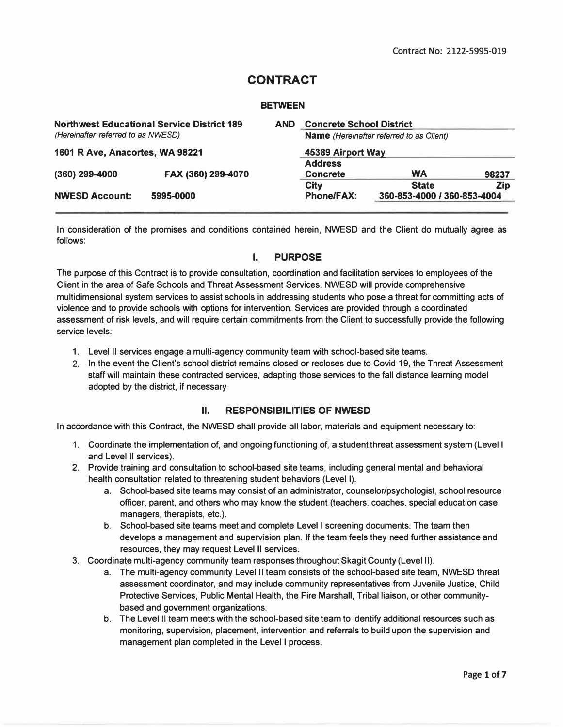# **CONTRACT**

#### **BETWEEN**

| <b>Northwest Educational Service District 189</b><br><b>AND</b><br>(Hereinafter referred to as NWESD) |                    | <b>Concrete School District</b><br><b>Name</b> (Hereinafter referred to as Client)<br>45389 Airport Way |                   |                             |            |                                 |
|-------------------------------------------------------------------------------------------------------|--------------------|---------------------------------------------------------------------------------------------------------|-------------------|-----------------------------|------------|---------------------------------|
|                                                                                                       |                    |                                                                                                         |                   |                             |            | 1601 R Ave, Anacortes, WA 98221 |
|                                                                                                       |                    |                                                                                                         |                   |                             |            |                                 |
| (360) 299-4000                                                                                        | FAX (360) 299-4070 |                                                                                                         | <b>Concrete</b>   | <b>WA</b>                   | 98237      |                                 |
|                                                                                                       |                    |                                                                                                         | City              | <b>State</b>                | <b>Zip</b> |                                 |
| <b>NWESD Account:</b>                                                                                 | 5995-0000          |                                                                                                         | <b>Phone/FAX:</b> | 360-853-4000 / 360-853-4004 |            |                                 |
|                                                                                                       |                    |                                                                                                         |                   |                             |            |                                 |

**In consideration of the promises and conditions contained herein, NWESD and the Client do mutually agree as follows:** 

### **I. PURPOSE**

**The purpose of this Contract is to provide consultation, coordination and facilitation services to employees of the Client in the area of Safe Schools and Threat Assessment Services. NWESD will provide comprehensive, multidimensional system services to assist schools in addressing students who pose a threat for committing acts of violence and to provide schools with options for intervention. Services are provided through a coordinated assessment of risk levels, and will require certain commitments from the Client to successfully provide the following service levels:** 

- **1. Level II services engage a multi-agency community team with school-based site teams.**
- **2. In the event the Client's school district remains closed or recloses due to Covid-19, the Threat Assessment staff will maintain these contracted services, adapting those services to the fall distance learning model adopted by the district, if necessary**

### **II. RESPONSIBILITIES OF NWESD**

**In accordance with this Contract, the NWESD shall provide all labor, materials and equipment necessary to:** 

- **1. Coordinate the implementation of, and ongoing functioning of, a student threat assessment system (Level I and Level II services).**
- 2. **Provide training and consultation to school-based site teams, including general mental and behavioral health consultation related to threatening student behaviors (Level I).** 
	- **a. School-based site teams may consist of an administrator, counselor/psychologist, school resource officer, parent, and others who may know the student (teachers, coaches, special education case managers, therapists, etc.).**
	- **b. School-based site teams meet and complete Level I screening documents. The team then develops a management and supervision plan. If the team feels they need further assistance and resources, they may request Level II services.**
- **3. Coordinate multi-agency community team responses throughout Skagit County (Level II).** 
	- **a. The multi-agency community Level II team consists of the school-based site team, NWESD threat assessment coordinator, and may include community representatives from Juvenile Justice, Child Protective Services, Public Mental Health, the Fire Marshall, Tribal liaison, or other communitybased and government organizations.**
	- **b. The Level II team meets with the school-based site team to identify additional resources such as monitoring, supervision, placement, intervention and referrals to build upon the supervision and management plan completed in the Level I process.**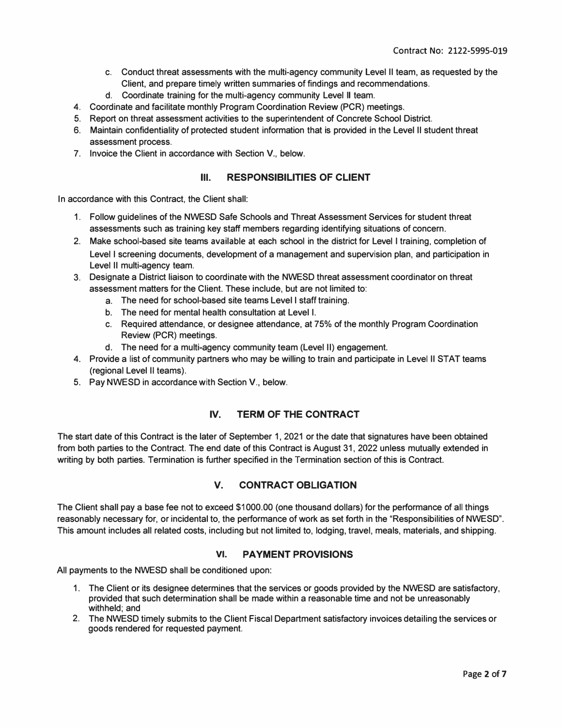- **c. Conduct threat assessments with the multi-agency community Level II team, as requested by the Client, and prepare timely written summaries of findings and recommendations.**
- **d. Coordinate training for the multi-agency community Level II team.**
- **4. Coordinate and facilitate monthly Program Coordination Review (PCR) meetings.**
- **5. Report on threat assessment activities to the superintendent of Concrete School District.**
- **6. Maintain confidentiality of protected student information that is provided in the Level II student threat assessment process.**
- **7. Invoice the Client in accordance with Section V., below.**

#### **Ill. RESPONSIBILITIES OF CLIENT**

**In accordance with this Contract, the Client shall:** 

- **1. Follow guidelines of the NWESD Safe Schools and Threat Assessment Services for student threat assessments such as training key staff members regarding identifying situations of concern.**
- **2. Make school-based site teams available at each school in the district for Level I training, completion of Level I screening documents, development of a management and supervision plan, and participation in Level II multi-agency team.**
- **3. Designate a District liaison to coordinate with the NWESD threat assessment coordinator on threat assessment matters for the Client. These include, but are not limited to:** 
	- **a. The need for school-based site teams Level I staff training.**
	- **b. The need for mental health consultation at Level I.**
	- **c. Required attendance, or designee attendance, at 75% of the monthly Program Coordination Review (PCR) meetings.**
	- **d. The need for a multi-agency community team (Level II) engagement.**
- **4. Provide a list of community partners who may be willing to train and participate in Level II STAT teams (regional Level II teams).**
- **5. Pay NWESD in accordance with Section V., below.**

# **IV. TERM OF THE CONTRACT**

**The start date of this Contract is the later of September 1, 2021 or the date that signatures have been obtained from both parties to the Contract. The end date of this Contract is August 31, 2022 unless mutually extended in writing by both parties. Termination is further specified in the Termination section of this is Contract.** 

### **V. CONTRACT OBLIGATION**

**The Client shall pay a base fee not to exceed \$1000.00 (one thousand dollars) for the performance of all things reasonably necessary for, or incidental to, the performance of work as set forth in the "Responsibilities of NWESD". This amount includes all related costs, including but not limited to, lodging, travel, meals, materials, and shipping.** 

#### **VI. PAYMENT PROVISIONS**

**All payments to the NWESD shall be conditioned upon:** 

- **1. The Client or its designee determines that the services or goods provided by the NWESD are satisfactory, provided that such determination shall be made within a reasonable time and not be unreasonably withheld; and**
- **2. The NWESD timely submits to the Client Fiscal Department satisfactory invoices detailing the services or goods rendered for requested payment.**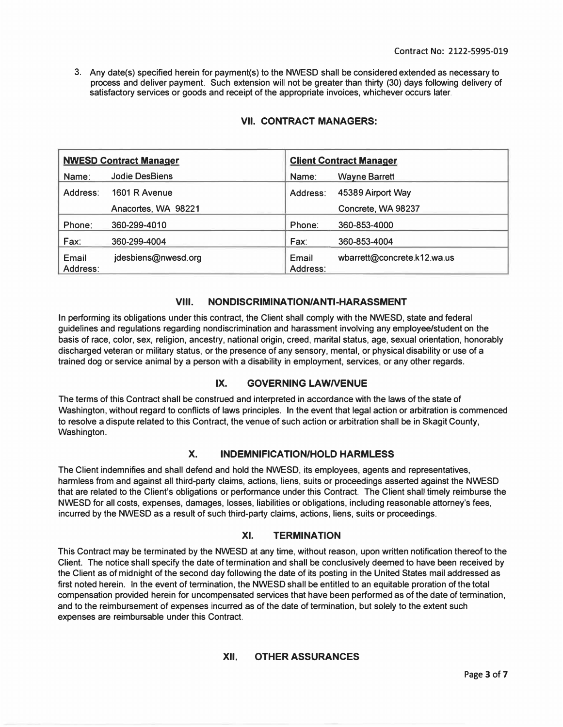**3. Any date(s) specified herein for payment(s) to the NWESD shall be considered extended as necessary to process and deliver payment. Such extension will not be greater than thirty (30) days following delivery of satisfactory services or goods and receipt of the appropriate invoices, whichever occurs later.** 

| <b>NWESD Contract Manager</b> |                     | <b>Client Contract Manager</b> |                             |
|-------------------------------|---------------------|--------------------------------|-----------------------------|
| Name:                         | Jodie DesBiens      | Name:                          | Wayne Barrett               |
| Address:                      | 1601 R Avenue       | Address:                       | 45389 Airport Way           |
|                               | Anacortes, WA 98221 |                                | Concrete, WA 98237          |
| Phone:                        | 360-299-4010        | Phone:                         | 360-853-4000                |
| Fax:                          | 360-299-4004        | Fax:                           | 360-853-4004                |
| Email<br>Address:             | jdesbiens@nwesd.org | Email<br>Address:              | wbarrett@concrete.k12.wa.us |

# **VII. CONTRACT MANAGERS:**

### **VIII. NONDISCRIMINATION/ANTI-HARASSMENT**

**In performing its obligations under this contract, the Client shall comply with the NWESD, state and federal guidelines and regulations regarding nondiscrimination and harassment involving any employee/student on the basis of race, color, sex, religion, ancestry, national origin, creed, marital status, age, sexual orientation, honorably discharged veteran or military status, or the presence of any sensory, mental, or physical disability or use of a trained dog or service animal by a person with a disability in employment, services, or any other regards.** 

### **IX. GOVERNING LAWNENUE**

**The terms of this Contract shall be construed and interpreted in accordance with the laws of the state of Washington, without regard to conflicts of laws principles. In the event that legal action or arbitration is commenced to resolve a dispute related to this Contract, the venue of such action or arbitration shall be in Skagit County, Washington.** 

### **X. INDEMNIFICATION/HOLD HARMLESS**

**The Client indemnifies and shall defend and hold the NWESD, its employees, agents and representatives, harmless from and against all third-party claims, actions, liens, suits or proceedings asserted against the NWESD that are related to the Client's obligations or performance under this Contract. The Client shall timely reimburse the NWESD for all costs, expenses, damages, losses, liabilities or obligations, including reasonable attorney's fees, incurred by the NWESD as a result of such third-party claims, actions, liens, suits or proceedings.** 

# **XI. TERMINATION**

**This Contract may be terminated by the NWESD at any time, without reason, upon written notification thereof to the Client. The notice shall specify the date of termination and shall be conclusively deemed to have been received by the Client as of midnight of the second day following the date of its posting in the United States mail addressed as first noted herein. In the event of termination, the NWESD shall be entitled to an equitable proration of the total compensation provided herein for uncompensated services that have been performed as of the date of termination, and to the reimbursement of expenses incurred as of the date of termination, but solely to the extent such expenses are reimbursable under this Contract.** 

### **XII. OTHER ASSURANCES**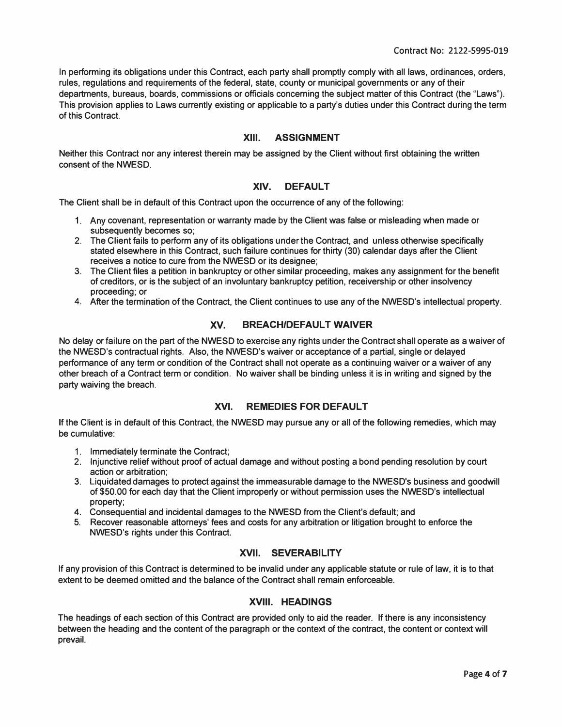**In performing its obligations under this Contract, each party shall promptly comply with all laws, ordinances, orders, rules, regulations and requirements of the federal, state, county or municipal governments or any of their departments, bureaus, boards, commissions or officials concerning the subject matter of this Contract (the "Laws"). This provision applies to Laws currently existing or applicable to a party's duties under this Contract during the term of this Contract.** 

#### **XIII. ASSIGNMENT**

**Neither this Contract nor any interest therein may be assigned by the Client without first obtaining the written consent of the NWESD.** 

#### **XIV. DEFAULT**

**The Client shall be in default of this Contract upon the occurrence of any of the following:** 

- **1. Any covenant, representation or warranty made by the Client was false or misleading when made or subsequently becomes so;**
- **2. The Client fails to perform any of its obligations under the Contract, and unless otherwise specifically stated elsewhere in this Contract, such failure continues for thirty (30) calendar days after the Client receives a notice to cure from the NWESD or its designee;**
- **3. The Client files a petition in bankruptcy or other similar proceeding, makes any assignment for the benefit of creditors, or is the subject of an involuntary bankruptcy petition, receivership or other insolvency proceeding; or**
- **4. After the termination of the Contract, the Client continues to use any of the NWESD's intellectual property.**

### **XV. BREACH/DEFAULT WAIVER**

**No delay or failure on the part of the NWESD to exercise any rights under the Contract shall operate as a waiver of the NWESD's contractual rights. Also, the NWESD's waiver or acceptance of a partial, single or delayed performance of any term or condition of the Contract shall not operate as a continuing waiver or a waiver of any other breach of a Contract term or condition. No waiver shall be binding unless it is in writing and signed by the party waiving the breach.** 

### **XVI. REMEDIES FOR DEFAULT**

**If the Client is in default of this Contract, the NWESD may pursue any or all of the following remedies, which may be cumulative:** 

- **1. Immediately terminate the Contract;**
- **2. Injunctive relief without proof of actual damage and without posting a bond pending resolution by court action or arbitration;**
- of \$50.00 for each day that the Client improperly or without permission uses the NWESD's intellectual<br>property; **3. Liquidated damages to protect against the immeasurable damage to the NWESD's business and goodwill property;**
- **4. Consequential and incidental damages to the NWESD from the Client's default; and**
- **5. Recover reasonable attorneys' fees and costs for any arbitration or litigation brought to enforce the NWESD's rights under this Contract.**

### **XVII. SEVERABILITY**

**If any provision of this Contract is determined to be invalid under any applicable statute or rule of law, it is to that extent to be deemed omitted and the balance of the Contract shall remain enforceable.** 

### **XVIII. HEADINGS**

**The headings of each section of this Contract are provided only to aid the reader. If there is any inconsistency between the heading and the content of the paragraph or the context of the contract, the content or context will prevail.**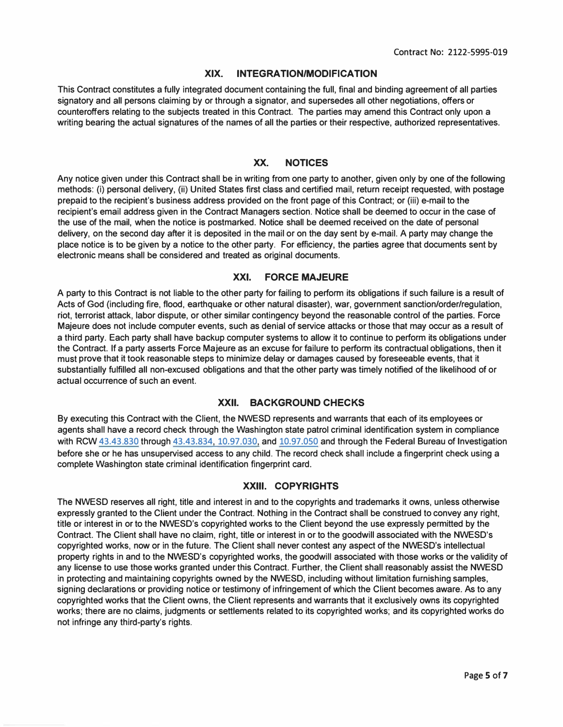#### **XIX. INTEGRATION/MODIFICATION**

**This Contract constitutes a fully integrated document containing the full, final and binding agreement of all parties signatory and all persons claiming by or through a signator, and supersedes all other negotiations, offers or counteroffers relating to the subjects treated in this Contract. The parties may amend this Contract only upon a writing bearing the actual signatures of the names of all the parties or their respective, authorized representatives.** 

#### **XX. NOTICES**

**Any notice given under this Contract shall be in writing from one party to another, given only by one of the following methods: (i) personal delivery, (ii) United States first class and certified mail, return receipt requested, with postage prepaid to the recipient's business address provided on the front page of this Contract; or (iii) e-mail to the recipient's email address given in the Contract Managers section. Notice shall be deemed to occur in the case of the use of the mail, when the notice is postmarked. Notice shall be deemed received on the date of personal delivery, on the second day after it is deposited in the mail or on the day sent by e-mail. A party may change the place notice is to be given by a notice to the other party. For efficiency, the parties agree that documents sent by electronic means shall be considered and treated as original documents.** 

#### **XXI. FORCE MAJEURE**

**A party to this Contract is not liable to the other party for failing to perfonn its obligations if such failure is a result of Acts of God (including fire, flood, earthquake or other natural disaster), war, government sanction/order/regulation, riot, terrorist attack, labor dispute, or other similar contingency beyond the reasonable control of the parties. Force Majeure does not include computer events, such as denial of service attacks or those that may occur as a result of a third party. Each party shall have backup computer systems to allow it to continue to perform its obligations under the Contract. If a party asserts Force Majeure as an excuse for failure to perfonn its contractual obligations, then it must prove that it took reasonable steps to minimize delay or damages caused by foreseeable events, that it substantially fulfilled all non-excused obligations and that the other party was timely notified of the likelihood of or actual occurrence of such an event.** 

#### **XXII. BACKGROUND CHECKS**

**By executing this Contract with the Client, the NWESD represents and warrants that each of its employees or agents shall have a record check through the Washington state patrol criminal identification system in compliance with RCW 43.43.830 through 43.43.834, 10.97.030, and 10.97.050 and through the Federal Bureau of Investigation before she or he has unsupervised access to any child. The record check shall include a fingerprint check using a complete Washington state criminal identification fingerprint card.** 

#### **XXIII. COPYRIGHTS**

**The NWESD reserves all right, title and interest in and to the copyrights and trademarks it owns, unless otherwise expressly granted to the Client under the Contract. Nothing in the Contract shall be construed to convey any right, title or interest in or to the NWESD's copyrighted works to the Client beyond the use expressly pennitted by the Contract. The Client shall have no claim, right, title or interest in or to the goodwill associated with the NWESD's copyrighted works, now or in the future. The Client shall never contest any aspect of the NWESD's intellectual property rights in and to the NWESD's copyrighted works, the goodwill associated with those works or the validity of any license to use those works granted under this Contract. Further, the Client shall reasonably assist the NWESD in protecting and maintaining copyrights owned by the NWESD, including without limitation furnishing samples, signing declarations or providing notice or testimony of infringement of which the Client becomes aware. As to any copyrighted works that the Client owns, the Client represents and warrants that it exclusively owns its copyrighted works; there are no claims, judgments or settlements related to its copyrighted works; and its copyrighted works do not infringe any third-party's rights.**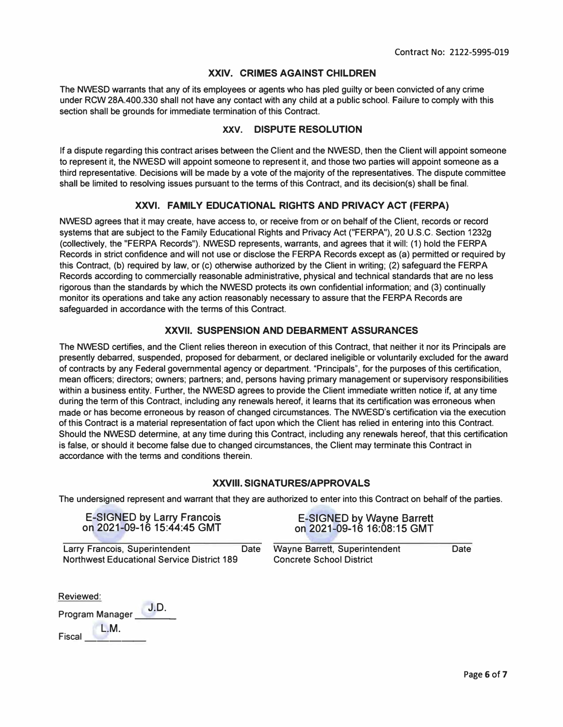#### **XXIV. CRIMES AGAINST CHILDREN**

**The NWESD warrants that any of its employees or agents who has pied guilty or been convicted of any crime under RCW 28A.400.330 shall not have any contact with any child at a public school. Failure to comply with this section shall be grounds for immediate termination of this Contract.** 

#### **XXV. DISPUTE RESOLUTION**

**If a dispute regarding this contract arises between the Client and the NWESD, then the Client will appoint someone to represent it, the NWESD will appoint someone to represent it, and those two parties will appoint someone as a third representative. Decisions will be made by a vote of the majority of the representatives. The dispute committee shall be limited to resolving issues pursuant to the terms of this Contract, and its decision(s) shall be final.** 

#### **XXVI. FAMILY EDUCATIONAL RIGHTS AND PRIVACY ACT (FERPA}**

**NWESD agrees that it may create, have access to, or receive from or on behalf of the Client, records or record systems that are subject to the Family Educational Rights and Privacy Act ("FERPA"), 20 U.S.C. Section 1232g (collectively, the "FERPA Records"). NWESD represents, warrants, and agrees that it will: (1) hold the FERPA Records in strict confidence and will not use or disclose the FERPA Records except as (a) permitted or required by this Contract, (b) required by law, or (c) otherwise authorized by the Client in writing; (2) safeguard the FERPA Records according to commercially reasonable administrative, physical and technical standards that are no less rigorous than the standards by which the NWESD protects its own confidential information; and (3) continually monitor its operations and take any action reasonably necessary to assure that the FERPA Records are safeguarded in accordance with the terms of this Contract.** 

#### **XXVII. SUSPENSION AND DEBARMENT ASSURANCES**

**The NWESD certifies, and the Client relies thereon in execution of this Contract, that neither it nor its Principals are presently debarred, suspended, proposed for debarment, or declared ineligible or voluntarily excluded for the award of contracts by any Federal governmental agency or department. "Principals", for the purposes of this certification, mean officers; directors; owners; partners; and, persons having primary management or supervisory responsibilities within a business entity. Further, the NWESD agrees to provide the Client immediate written notice if, at any time during the term of this Contract, including any renewals hereof, it learns that its certification was erroneous when made or has become erroneous by reason of changed circumstances. The NWESD's certification via the execution of this Contract is a material representation of fact upon which the Client has relied in entering into this Contract. Should the NWESD determine, at any time during this Contract, including any renewals hereof, that this certification is false, or should it become false due to changed circumstances, the Client may terminate this Contract in accordance with the terms and conditions therein.** 

#### **XXVIII. SIGNATURES/APPROVALS**

**The undersigned represent and warrant that they are authorized to enter into this Contract on behalf of the parties.** 

E-SIGNED by Larry Francois E-SIGNED by Wayne Barrett<br>on 2021-09-16 15:44:45 GMT on 2021-09-16 16:08:15 GMT

**Larry Francois, Superintendent Date Wayne Barrett, Superintendent Date Northwest Educational Service District 189 Concrete School District** 

on 2021-09-16 16:08:15 GMT

| Reviewed: |                        |      |  |
|-----------|------------------------|------|--|
|           | <b>Program Manager</b> | J.D. |  |
| Fiscal    | L M.                   |      |  |